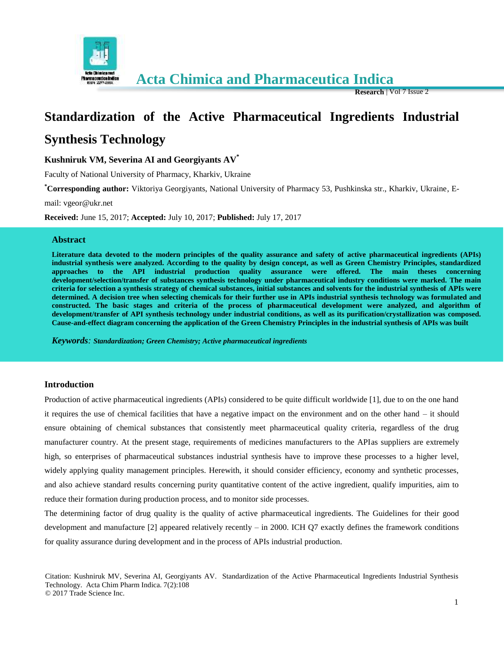

 **Acta Chimica and Pharmaceutica Indica**

**Research** | Vol 7 Issue 2

# **Standardization of the Active Pharmaceutical Ingredients Industrial Synthesis Technology**

**Kushniruk VM, Severina AI and Georgiyants AV\***

Faculty of National University of Pharmacy, Kharkiv, Ukraine

**\*Corresponding author:** Viktoriya Georgiyants, National University of Pharmacy 53, Pushkinska str., Kharkiv, Ukraine, E-

mail: vgeor@ukr.net

**Received:** June 15, 2017; **Accepted:** July 10, 2017; **Published:** July 17, 2017

#### **Abstract**

**Literature data devoted to the modern principles of the quality assurance and safety of active pharmaceutical ingredients (APIs) industrial synthesis were analyzed. According to the quality by design concept, as well as Green Chemistry Principles, standardized approaches to the API industrial production quality assurance were offered. The main theses concerning development/selection/transfer of substances synthesis technology under pharmaceutical industry conditions were marked. The main criteria for selection a synthesis strategy of chemical substances, initial substances and solvents for the industrial synthesis of APIs were determined. A decision tree when selecting chemicals for their further use in APIs industrial synthesis technology was formulated and constructed. The basic stages and criteria of the process of pharmaceutical development were analyzed, and algorithm of development/transfer of API synthesis technology under industrial conditions, as well as its purification/crystallization was composed. Cause-and-effect diagram concerning the application of the Green Chemistry Principles in the industrial synthesis of APIs was built**

*Keywords: Standardization; Green Chemistry; Active pharmaceutical ingredients*

## **Introduction**

Production of active pharmaceutical ingredients (APIs) considered to be quite difficult worldwide [1], due to on the one hand it requires the use of chemical facilities that have a negative impact on the environment and on the other hand – it should ensure obtaining of chemical substances that consistently meet pharmaceutical quality criteria, regardless of the drug manufacturer country. At the present stage, requirements of medicines manufacturers to the APIas suppliers are extremely high, so enterprises of pharmaceutical substances industrial synthesis have to improve these processes to a higher level, widely applying quality management principles. Herewith, it should consider efficiency, economy and synthetic processes, and also achieve standard results concerning purity quantitative content of the active ingredient, qualify impurities, aim to reduce their formation during production process, and to monitor side processes.

The determining factor of drug quality is the quality of active pharmaceutical ingredients. The Guidelines for their good development and manufacture [2] appeared relatively recently – in 2000. ICH Q7 exactly defines the framework conditions for quality assurance during development and in the process of APIs industrial production.

Citation: Kushniruk MV, Severina AI, Georgiyants AV. Standardization of the Active Pharmaceutical Ingredients Industrial Synthesis Technology. Acta Chim Pharm Indica. 7(2):108 © 2017 Trade Science Inc.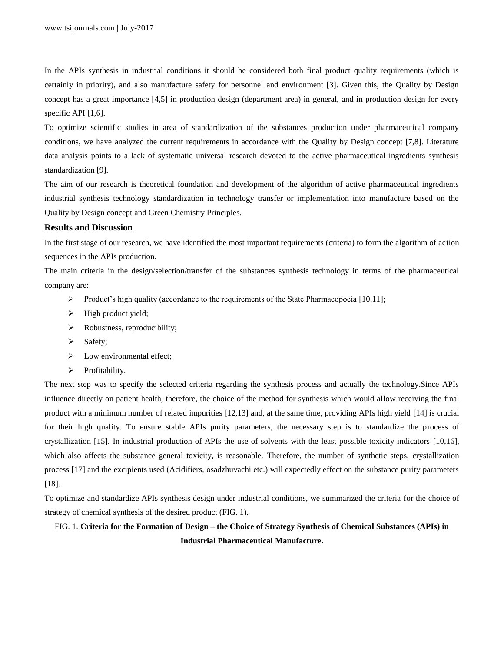In the APIs synthesis in industrial conditions it should be considered both final product quality requirements (which is certainly in priority), and also manufacture safety for personnel and environment [3]. Given this, the Quality by Design concept has a great importance [4,5] in production design (department area) in general, and in production design for every specific API [1,6].

To optimize scientific studies in area of standardization of the substances production under pharmaceutical company conditions, we have analyzed the current requirements in accordance with the Quality by Design concept [7,8]. Literature data analysis points to a lack of systematic universal research devoted to the active pharmaceutical ingredients synthesis standardization [9].

The aim of our research is theoretical foundation and development of the algorithm of active pharmaceutical ingredients industrial synthesis technology standardization in technology transfer or implementation into manufacture based on the Quality by Design concept and Green Chemistry Principles.

#### **Results and Discussion**

In the first stage of our research, we have identified the most important requirements (criteria) to form the algorithm of action sequences in the APIs production.

The main criteria in the design/selection/transfer of the substances synthesis technology in terms of the pharmaceutical company are:

- Product's high quality (accordance to the requirements of the State Pharmacopoeia [10,11];
- $\blacktriangleright$  High product yield;
- $\triangleright$  Robustness, reproducibility;
- $\triangleright$  Safety;
- $\triangleright$  Low environmental effect;
- > Profitability.

The next step was to specify the selected criteria regarding the synthesis process and actually the technology.Since APIs influence directly on patient health, therefore, the choice of the method for synthesis which would allow receiving the final product with a minimum number of related impurities [12,13] and, at the same time, providing APIs high yield [14] is crucial for their high quality. To ensure stable APIs purity parameters, the necessary step is to standardize the process of crystallization [15]. In industrial production of APIs the use of solvents with the least possible toxicity indicators [10,16], which also affects the substance general toxicity, is reasonable. Therefore, the number of synthetic steps, crystallization process [17] and the excipients used (Acidifiers, osadzhuvachi etc.) will expectedly effect on the substance purity parameters [18].

To optimize and standardize APIs synthesis design under industrial conditions, we summarized the criteria for the choice of strategy of chemical synthesis of the desired product (FIG. 1).

# FIG. 1. **Criteria for the Formation of Design – the Choice of Strategy Synthesis of Chemical Substances (APIs) in Industrial Pharmaceutical Manufacture.**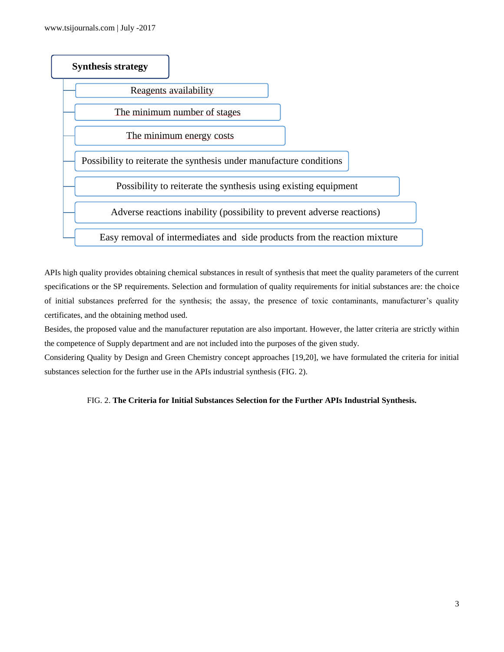

APIs high quality provides obtaining chemical substances in result of synthesis that meet the quality parameters of the current specifications or the SP requirements. Selection and formulation of quality requirements for initial substances are: the choice of initial substances preferred for the synthesis; the assay, the presence of toxic contaminants, manufacturer's quality certificates, and the obtaining method used.

Besides, the proposed value and the manufacturer reputation are also important. However, the latter criteria are strictly within the competence of Supply department and are not included into the purposes of the given study.

Considering Quality by Design and Green Chemistry concept approaches [19,20], we have formulated the criteria for initial substances selection for the further use in the APIs industrial synthesis (FIG. 2).

## FIG. 2. **The Criteria for Initial Substances Selection for the Further APIs Industrial Synthesis.**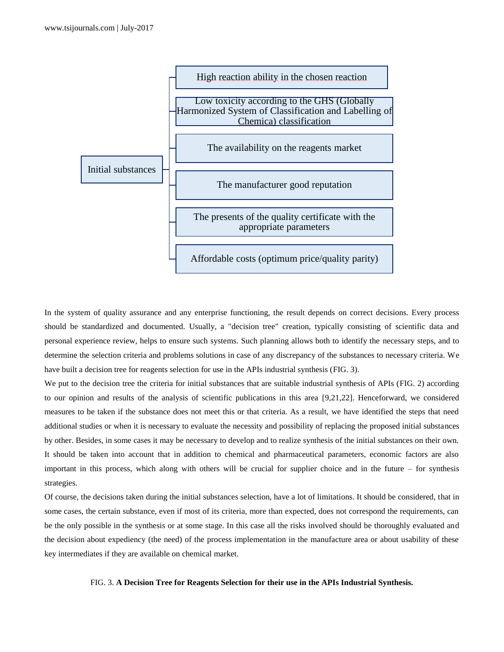

In the system of quality assurance and any enterprise functioning, the result depends on correct decisions. Every process should be standardized and documented. Usually, a "decision tree" creation, typically consisting of scientific data and personal experience review, helps to ensure such systems. Such planning allows both to identify the necessary steps, and to determine the selection criteria and problems solutions in case of any discrepancy of the substances to necessary criteria. We have built a decision tree for reagents selection for use in the APIs industrial synthesis (FIG. 3).

We put to the decision tree the criteria for initial substances that are suitable industrial synthesis of APIs (FIG. 2) according to our opinion and results of the analysis of scientific publications in this area [9,21,22]. Henceforward, we considered measures to be taken if the substance does not meet this or that criteria. As a result, we have identified the steps that need additional studies or when it is necessary to evaluate the necessity and possibility of replacing the proposed initial substances by other. Besides, in some cases it may be necessary to develop and to realize synthesis of the initial substances on their own. It should be taken into account that in addition to chemical and pharmaceutical parameters, economic factors are also important in this process, which along with others will be crucial for supplier choice and in the future – for synthesis strategies.

Of course, the decisions taken during the initial substances selection, have a lot of limitations. It should be considered, that in some cases, the certain substance, even if most of its criteria, more than expected, does not correspond the requirements, can be the only possible in the synthesis or at some stage. In this case all the risks involved should be thoroughly evaluated and the decision about expediency (the need) of the process implementation in the manufacture area or about usability of these key intermediates if they are available on chemical market.

#### FIG. 3. **A Decision Tree for Reagents Selection for their use in the APIs Industrial Synthesis.**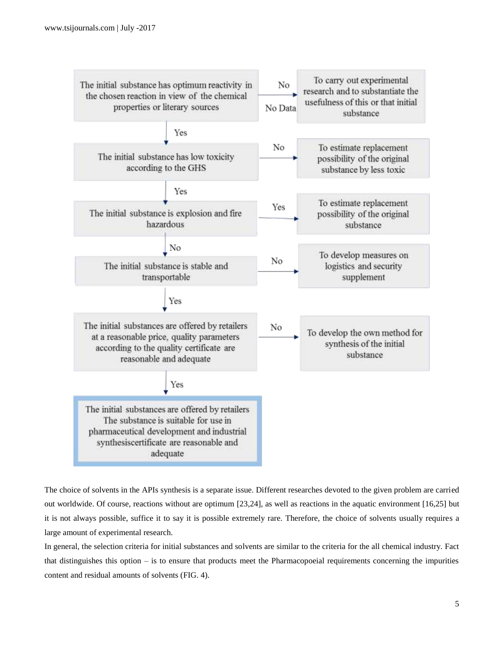

The choice of solvents in the APIs synthesis is a separate issue. Different researches devoted to the given problem are carried out worldwide. Of course, reactions without are optimum [23,24], as well as reactions in the aquatic environment [16,25] but it is not always possible, suffice it to say it is possible extremely rare. Therefore, the choice of solvents usually requires a large amount of experimental research.

In general, the selection criteria for initial substances and solvents are similar to the criteria for the all chemical industry. Fact that distinguishes this option – is to ensure that products meet the Pharmacopoeial requirements concerning the impurities content and residual amounts of solvents (FIG. 4).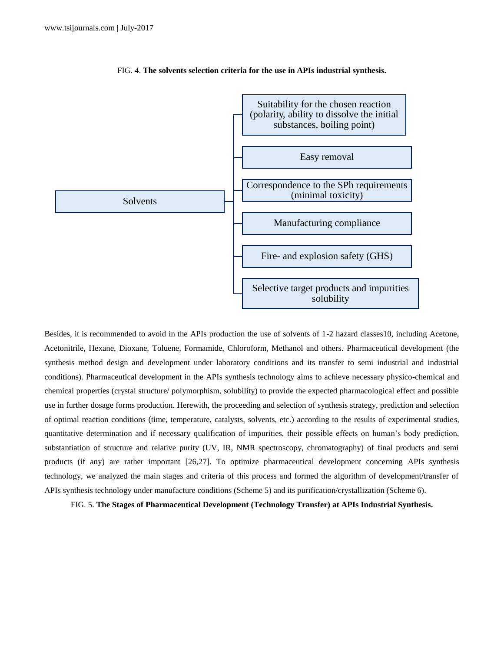

FIG. 4. **The solvents selection criteria for the use in APIs industrial synthesis.**

Besides, it is recommended to avoid in the APIs production the use of solvents of 1-2 hazard classes10, including Acetone, Acetonitrile, Hexane, Dioxane, Toluene, Formamide, Chloroform, Methanol and others. Pharmaceutical development (the synthesis method design and development under laboratory conditions and its transfer to semi industrial and industrial conditions). Pharmaceutical development in the APIs synthesis technology aims to achieve necessary physico-chemical and chemical properties (crystal structure/ polymorphism, solubility) to provide the expected pharmacological effect and possible use in further dosage forms production. Herewith, the proceeding and selection of synthesis strategy, prediction and selection of optimal reaction conditions (time, temperature, catalysts, solvents, etc.) according to the results of experimental studies, quantitative determination and if necessary qualification of impurities, their possible effects on human's body prediction, substantiation of structure and relative purity (UV, IR, NMR spectroscopy, chromatography) of final products and semi products (if any) are rather important [26,27]. To optimize pharmaceutical development concerning APIs synthesis technology, we analyzed the main stages and criteria of this process and formed the algorithm of development/transfer of APIs synthesis technology under manufacture conditions (Scheme 5) and its purification/crystallization (Scheme 6).

FIG. 5. **The Stages of Pharmaceutical Development (Technology Transfer) at APIs Industrial Synthesis.**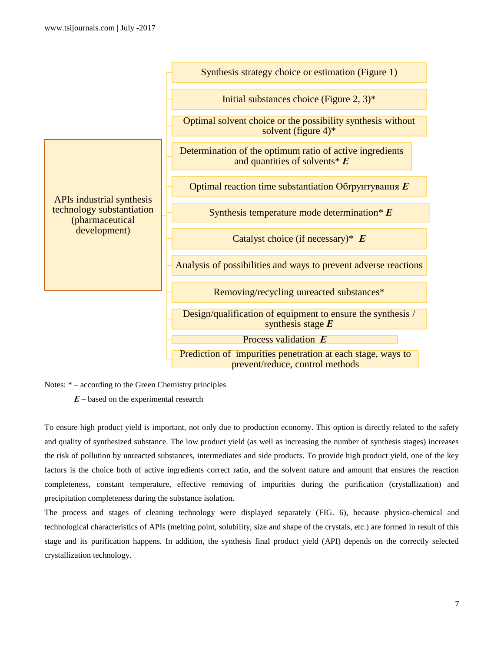

Notes: \* – according to the Green Chemistry principles

*Е –* based on the experimental research

To ensure high product yield is important, not only due to production economy. This option is directly related to the safety and quality of synthesized substance. The low product yield (as well as increasing the number of synthesis stages) increases the risk of pollution by unreacted substances, intermediates and side products. To provide high product yield, one of the key factors is the choice both of active ingredients correct ratio, and the solvent nature and amount that ensures the reaction completeness, constant temperature, effective removing of impurities during the purification (crystallization) and precipitation completeness during the substance isolation.

The process and stages of cleaning technology were displayed separately (FIG. 6), because physico-chemical and technological characteristics of APIs (melting point, solubility, size and shape of the crystals, etc.) are formed in result of this stage and its purification happens. In addition, the synthesis final product yield (API) depends on the correctly selected crystallization technology.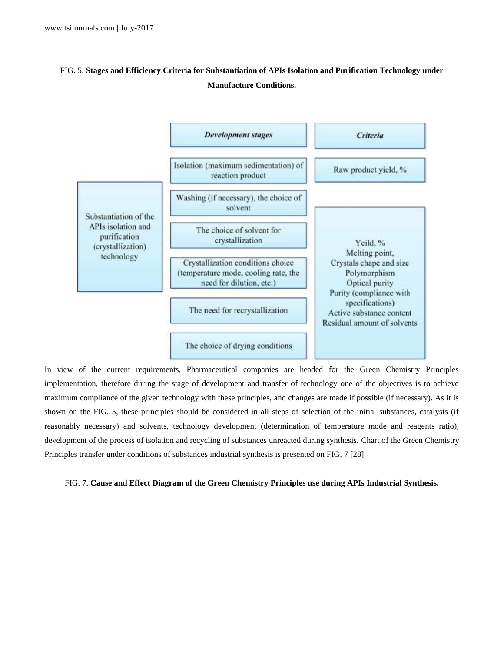# FIG. 5. **Stages and Efficiency Criteria for Substantiation of APIs Isolation and Purification Technology under Manufacture Conditions.**



In view of the current requirements, Pharmaceutical companies are headed for the Green Chemistry Principles implementation, therefore during the stage of development and transfer of technology one of the objectives is to achieve maximum compliance of the given technology with these principles, and changes are made if possible (if necessary). As it is shown on the FIG. 5, these principles should be considered in all steps of selection of the initial substances, catalysts (if reasonably necessary) and solvents, technology development (determination of temperature mode and reagents ratio), development of the process of isolation and recycling of substances unreacted during synthesis. Chart of the Green Chemistry Principles transfer under conditions of substances industrial synthesis is presented on FIG. 7 [28].

#### FIG. 7. **Cause and Effect Diagram of the Green Chemistry Principles use during APIs Industrial Synthesis.**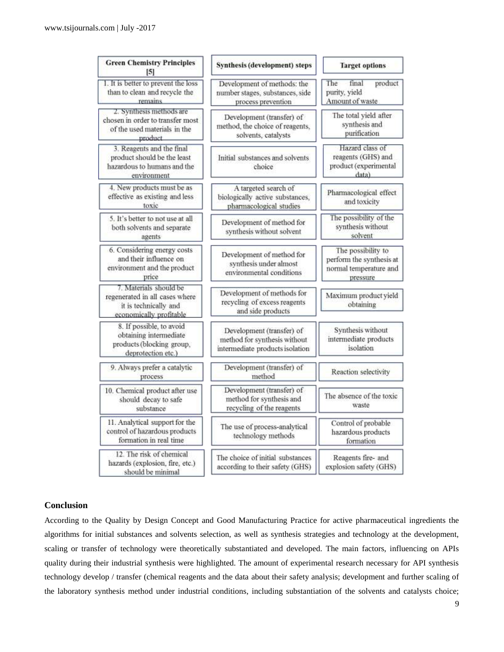| <b>Green Chemistry Principles</b><br>$\vert 5 \vert$                                                         | Synthesis (development) steps                                                                | <b>Target options</b>                                                                |
|--------------------------------------------------------------------------------------------------------------|----------------------------------------------------------------------------------------------|--------------------------------------------------------------------------------------|
| 1. It is better to prevent the loss<br>than to clean and recycle the<br>remains                              | Development of methods: the<br>number stages, substances, side<br>process prevention         | The<br>product<br>final<br>purity, yield<br>Amount of waste                          |
| 2. Synthesis methods are<br>chosen in order to transfer most<br>of the used materials in the<br>product      | Development (transfer) of<br>method, the choice of reagents,<br>solvents, catalysts          | The total yield after<br>synthesis and<br>purification                               |
| 3. Reagents and the final<br>product should be the least<br>hazardous to humans and the<br>environment       | Initial substances and solvents<br>choice                                                    | Hazard class of<br>reagents (GHS) and<br>product (experimental<br>data)              |
| 4. New products must be as<br>effective as existing and less<br>toxic                                        | A targeted search of<br>biologically active substances,<br>pharmacological studies           | Pharmacological effect<br>and toxicity                                               |
| 5. It's better to not use at all<br>both solvents and separate<br>agents                                     | Development of method for<br>synthesis without solvent                                       | The possibility of the<br>synthesis without<br>solvent                               |
| 6. Considering energy costs<br>and their influence on<br>environment and the product<br>price                | Development of method for<br>synthesis under almost<br>environmental conditions              | The possibility to<br>perform the synthesis at<br>normal temperature and<br>pressure |
| 7. Materials should be<br>regenerated in all cases where<br>it is technically and<br>economically profitable | Development of methods for<br>recycling of excess reagents<br>and side products              | Maximum product yield<br>obtaining                                                   |
| 8. If possible, to avoid<br>obtaining intermediate<br>products (blocking group,<br>deprotection etc.)        | Development (transfer) of<br>method for synthesis without<br>intermediate products isolation | Synthesis without<br>intermediate products<br>isolation                              |
| 9. Always prefer a catalytic<br>process                                                                      | Development (transfer) of<br>method                                                          | Reaction selectivity                                                                 |
| 10. Chemical product after use<br>should decay to safe<br>substance                                          | Development (transfer) of<br>method for synthesis and<br>recycling of the reagents           | The absence of the toxic<br>waste                                                    |
| 11. Analytical support for the<br>control of hazardous products<br>formation in real time                    | The use of process-analytical<br>technology methods                                          | Control of probable<br>hazardous products<br>formation                               |
| 12. The risk of chemical<br>hazards (explosion, fire, etc.)<br>should be minimal                             | The choice of initial substances<br>according to their safety (GHS)                          | Reagents fire- and<br>explosion safety (GHS)                                         |

## **Conclusion**

According to the Quality by Design Concept and Good Manufacturing Practice for active pharmaceutical ingredients the algorithms for initial substances and solvents selection, as well as synthesis strategies and technology at the development, scaling or transfer of technology were theoretically substantiated and developed. The main factors, influencing on APIs quality during their industrial synthesis were highlighted. The amount of experimental research necessary for API synthesis technology develop / transfer (chemical reagents and the data about their safety analysis; development and further scaling of the laboratory synthesis method under industrial conditions, including substantiation of the solvents and catalysts choice;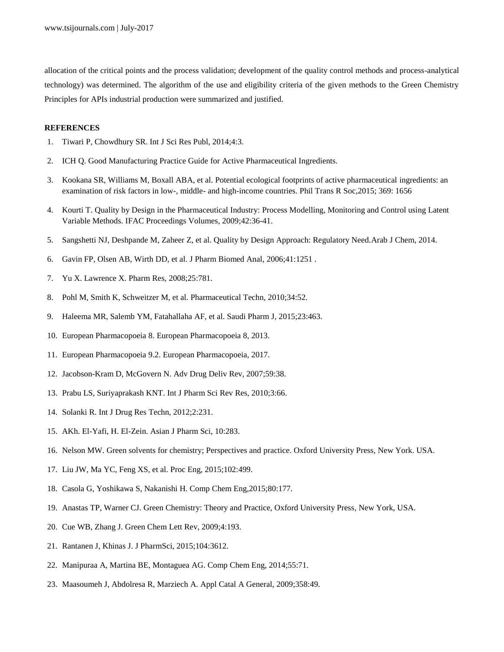allocation of the critical points and the process validation; development of the quality control methods and process-analytical technology) was determined. The algorithm of the use and eligibility criteria of the given methods to the Green Chemistry Principles for APIs industrial production were summarized and justified.

#### **REFERENCES**

- 1. Tiwari P, Chowdhury SR. Int J Sci Res Publ, 2014;4:3.
- 2. ICH Q. Good Manufacturing Practice Guide for Active Pharmaceutical Ingredients.
- 3. Kookana SR, Williams M, Boxall ABA, et al. Potential ecological footprints of active pharmaceutical ingredients: an examination of risk factors in low-, middle- and high-income countries. Phil Trans R Soc,2015; 369: 1656
- 4. Kourti T. Quality by Design in the Pharmaceutical Industry: Process Modelling, Monitoring and Control using Latent Variable Methods. IFAC Proceedings Volumes, 2009;42:36-41.
- 5. Sangshetti NJ, Deshpande M, Zaheer Z, et al. Quality by Design Approach: Regulatory Need.Arab J Chem, 2014.
- 6. Gavin FP, Olsen AB, Wirth DD, et al. J Pharm Biomed Anal, 2006;41:1251 .
- 7. Yu X. Lawrence X. Pharm Res, 2008;25:781.
- 8. Pohl M, Smith K, Schweitzer M, et al. Pharmaceutical Techn, 2010;34:52.
- 9. Haleema MR, Salemb YM, Fatahallaha AF, et al. Saudi Pharm J, 2015;23:463.
- 10. European Pharmacopoeia 8. European Pharmacopoeia 8, 2013.
- 11. European Pharmacopoeia 9.2. European Pharmacopoeia, 2017.
- 12. Jacobson-Kram D, McGovern N. Adv Drug Deliv Rev, 2007;59:38.
- 13. Prabu LS, Suriyaprakash KNT. Int J Pharm Sci Rev Res, 2010;3:66.
- 14. Solanki R. Int J Drug Res Techn, 2012;2:231.
- 15. AKh. El-Yafi, H. El-Zein. Asian J Pharm Sci, 10:283.
- 16. Nelson MW. Green solvents for chemistry; Perspectives and practice. Oxford University Press, New York. USA.
- 17. Liu JW, Ma YC, Feng XS, et al. Proc Eng, 2015;102:499.
- 18. Casola G, Yoshikawa S, Nakanishi H. Comp Chem Eng,2015;80:177.
- 19. Anastas TP, Warner CJ. Green Chemistry: Theory and Practice, Oxford University Press, New York, USA.
- 20. Cue WB, Zhang J. Green Chem Lett Rev, 2009;4:193.
- 21. Rantanen J, Khinas J. J PharmSci, 2015;104:3612.
- 22. Manipuraa A, Martina BE, Montaguea AG. Comp Chem Eng, 2014;55:71.
- 23. Maasoumeh J, Abdolresa R, Marziech A. Appl Catal A General, 2009;358:49.